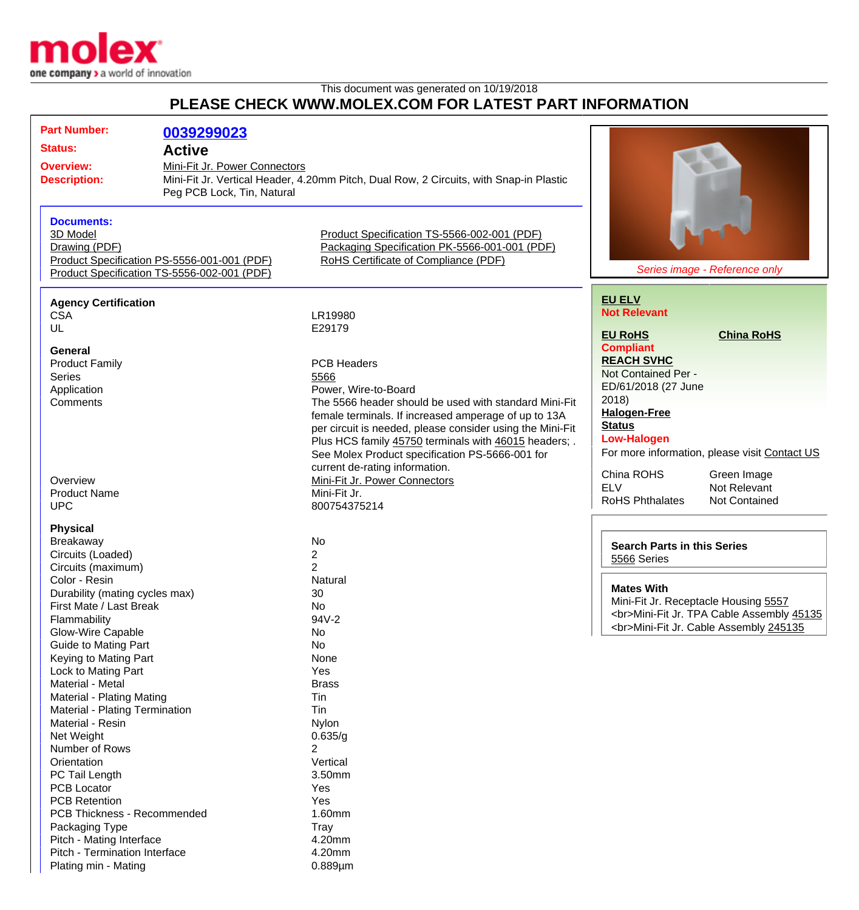

Plating min - Mating 0.889pm

This document was generated on 10/19/2018 **PLEASE CHECK WWW.MOLEX.COM FOR LATEST PART INFORMATION**

| <b>Part Number:</b>                                                      | 0039299023                                  |                                                                                        |                                                |
|--------------------------------------------------------------------------|---------------------------------------------|----------------------------------------------------------------------------------------|------------------------------------------------|
| <b>Status:</b>                                                           | <b>Active</b>                               |                                                                                        |                                                |
|                                                                          |                                             |                                                                                        |                                                |
| Mini-Fit Jr. Power Connectors<br><b>Overview:</b><br><b>Description:</b> |                                             | Mini-Fit Jr. Vertical Header, 4.20mm Pitch, Dual Row, 2 Circuits, with Snap-in Plastic |                                                |
|                                                                          | Peg PCB Lock, Tin, Natural                  |                                                                                        |                                                |
|                                                                          |                                             |                                                                                        |                                                |
| <b>Documents:</b>                                                        |                                             |                                                                                        |                                                |
| 3D Model                                                                 |                                             | Product Specification TS-5566-002-001 (PDF)                                            |                                                |
| Drawing (PDF)                                                            |                                             | Packaging Specification PK-5566-001-001 (PDF)                                          |                                                |
|                                                                          | Product Specification PS-5556-001-001 (PDF) | RoHS Certificate of Compliance (PDF)                                                   |                                                |
| Product Specification TS-5556-002-001 (PDF)                              |                                             |                                                                                        | Series image - Reference only                  |
|                                                                          |                                             |                                                                                        |                                                |
| <b>Agency Certification</b>                                              |                                             |                                                                                        | <b>EU ELV</b>                                  |
| <b>CSA</b>                                                               |                                             | LR19980                                                                                | <b>Not Relevant</b>                            |
| UL                                                                       |                                             | E29179                                                                                 | <b>EU RoHS</b><br><b>China RoHS</b>            |
|                                                                          |                                             |                                                                                        | <b>Compliant</b>                               |
| General                                                                  |                                             |                                                                                        | <b>REACH SVHC</b>                              |
| <b>Product Family</b>                                                    |                                             | <b>PCB Headers</b>                                                                     | Not Contained Per -                            |
| <b>Series</b>                                                            |                                             | 5566                                                                                   | ED/61/2018 (27 June                            |
| Application<br>Comments                                                  |                                             | Power, Wire-to-Board<br>The 5566 header should be used with standard Mini-Fit          | 2018)                                          |
|                                                                          |                                             | female terminals. If increased amperage of up to 13A                                   | <b>Halogen-Free</b>                            |
|                                                                          |                                             | per circuit is needed, please consider using the Mini-Fit                              | <b>Status</b>                                  |
|                                                                          |                                             | Plus HCS family 45750 terminals with 46015 headers; .                                  | <b>Low-Halogen</b>                             |
|                                                                          |                                             | See Molex Product specification PS-5666-001 for                                        | For more information, please visit Contact US  |
|                                                                          |                                             | current de-rating information.                                                         |                                                |
| Overview                                                                 |                                             | Mini-Fit Jr. Power Connectors                                                          | China ROHS<br>Green Image                      |
| <b>Product Name</b>                                                      |                                             | Mini-Fit Jr.                                                                           | <b>ELV</b><br>Not Relevant                     |
| <b>UPC</b>                                                               |                                             | 800754375214                                                                           | <b>RoHS Phthalates</b><br><b>Not Contained</b> |
|                                                                          |                                             |                                                                                        |                                                |
| <b>Physical</b>                                                          |                                             |                                                                                        |                                                |
| Breakaway                                                                |                                             | No                                                                                     | <b>Search Parts in this Series</b>             |
| Circuits (Loaded)                                                        |                                             | $\overline{2}$                                                                         | 5566 Series                                    |
| Circuits (maximum)                                                       |                                             | $\overline{2}$                                                                         |                                                |
| Color - Resin                                                            |                                             | Natural                                                                                | <b>Mates With</b>                              |
| Durability (mating cycles max)<br>First Mate / Last Break                |                                             | 30<br>No                                                                               | Mini-Fit Jr. Receptacle Housing 5557           |
| Flammability                                                             |                                             | 94V-2                                                                                  | <br>Mini-Fit Jr. TPA Cable Assembly 45135      |
| Glow-Wire Capable                                                        |                                             | No                                                                                     | <br>Mini-Fit Jr. Cable Assembly 245135         |
| Guide to Mating Part                                                     |                                             | No                                                                                     |                                                |
| Keying to Mating Part                                                    |                                             | None                                                                                   |                                                |
| Lock to Mating Part                                                      |                                             | Yes                                                                                    |                                                |
| Material - Metal                                                         |                                             | <b>Brass</b>                                                                           |                                                |
| Material - Plating Mating                                                |                                             | Tin                                                                                    |                                                |
| Material - Plating Termination                                           |                                             | Tin                                                                                    |                                                |
| Material - Resin                                                         |                                             | <b>Nylon</b>                                                                           |                                                |
| Net Weight                                                               |                                             | 0.635/g                                                                                |                                                |
| Number of Rows                                                           |                                             | $\overline{2}$                                                                         |                                                |
| Orientation                                                              |                                             | Vertical                                                                               |                                                |
| PC Tail Length                                                           |                                             | 3.50mm                                                                                 |                                                |
| <b>PCB Locator</b>                                                       |                                             | Yes                                                                                    |                                                |
| <b>PCB Retention</b>                                                     |                                             | Yes                                                                                    |                                                |
| PCB Thickness - Recommended                                              |                                             | 1.60mm                                                                                 |                                                |
| Packaging Type                                                           |                                             | Tray                                                                                   |                                                |
| Pitch - Mating Interface                                                 |                                             | 4.20mm                                                                                 |                                                |
| Pitch - Termination Interface                                            |                                             | 4.20mm                                                                                 |                                                |